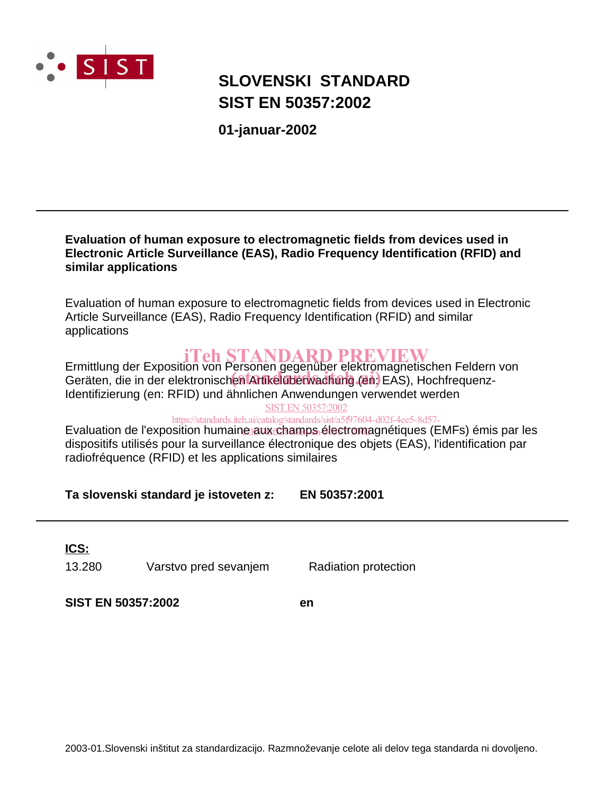

# **SIST EN 50357:2002 SLOVENSKI STANDARD**

**01-januar-2002**

### **Evaluation of human exposure to electromagnetic fields from devices used in Electronic Article Surveillance (EAS), Radio Frequency Identification (RFID) and similar applications**

Evaluation of human exposure to electromagnetic fields from devices used in Electronic Article Surveillance (EAS), Radio Frequency Identification (RFID) and similar applications

Ermittlung der Exposition von Personen gegenüber elektromagnetischen Feldern von iTeh STANDARD PREVIEW Emilitang der Exposition von Fersonen gegendeer eierlichtigheitsehen Felden.<br>Geräten, die in der elektronischen Artikelüberwachung (en: EAS), Hochfrequenz-Identifizierung (en: RFID) und ähnlichen Anwendungen verwendet werden SIST EN 50357:2002

https://standards.iteh.ai/catalog/standards/sist/a5f97604-d02f-4ee5-8d57-

Evaluation de l'exposition humaine aux champs électromagnétiques (EMFs) émis par les dispositifs utilisés pour la surveillance électronique des objets (EAS), l'identification par radiofréquence (RFID) et les applications similaires

**Ta slovenski standard je istoveten z: EN 50357:2001**

13.280 Varstvo pred sevanjem Radiation protection **ICS:**

**SIST EN 50357:2002 en**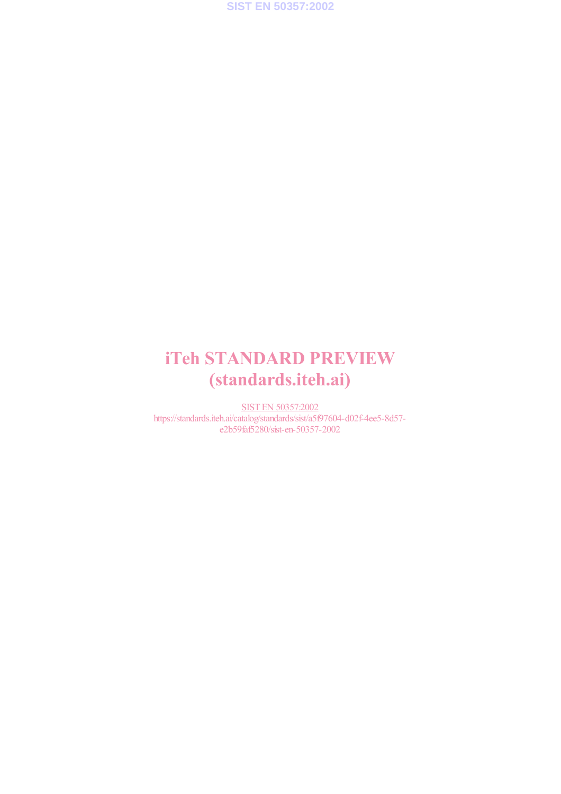

# iTeh STANDARD PREVIEW (standards.iteh.ai)

SIST EN 50357:2002 https://standards.iteh.ai/catalog/standards/sist/a5f97604-d02f-4ee5-8d57 e2b59faf5280/sist-en-50357-2002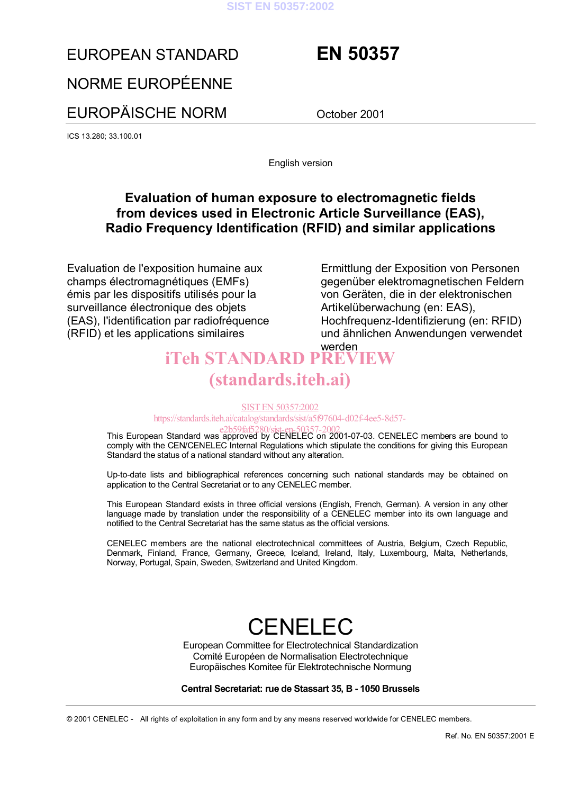

# EUROPEAN STANDARD **EN 50357**

# NORME EUROPÉENNE

EUROPÄISCHE NORM October 2001

ICS 13.280; 33.100.01

English version

# **Evaluation of human exposure to electromagnetic fields from devices used in Electronic Article Surveillance (EAS), Radio Frequency Identification (RFID) and similar applications**

Evaluation de l'exposition humaine aux champs électromagnétiques (EMFs) Èmis par les dispositifs utilisÈs pour la surveillance électronique des objets (EAS), l'identification par radiofréquence (RFID) et les applications similaires

Ermittlung der Exposition von Personen gegenüber elektromagnetischen Feldern von Geräten, die in der elektronischen Artikelüberwachung (en: EAS), Hochfrequenz-Identifizierung (en: RFID) und ähnlichen Anwendungen verwendet

# werden iTeh STANDARD PREVIEW (standards.iteh.ai)

#### SIST EN 50357:2002

https://standards.iteh.ai/catalog/standards/sist/a5f97604-d02f-4ee5-8d57-

e2b59faf5280/sist-en-50357-2002.<br>This European Standard was approved by CENELEC on 2001-07-03. CENELEC members are bound to comply with the CEN/CENELEC Internal Regulations which stipulate the conditions for giving this European Standard the status of a national standard without any alteration.

Up-to-date lists and bibliographical references concerning such national standards may be obtained on application to the Central Secretariat or to any CENELEC member.

This European Standard exists in three official versions (English, French, German). A version in any other language made by translation under the responsibility of a CENELEC member into its own language and notified to the Central Secretariat has the same status as the official versions.

CENELEC members are the national electrotechnical committees of Austria, Belgium, Czech Republic, Denmark, Finland, France, Germany, Greece, Iceland, Ireland, Italy, Luxembourg, Malta, Netherlands, Norway, Portugal, Spain, Sweden, Switzerland and United Kingdom.

# CENELEC

European Committee for Electrotechnical Standardization Comité Européen de Normalisation Electrotechnique Europäisches Komitee für Elektrotechnische Normung

#### **Central Secretariat: rue de Stassart 35, B - 1050 Brussels**

© 2001 CENELEC - All rights of exploitation in any form and by any means reserved worldwide for CENELEC members.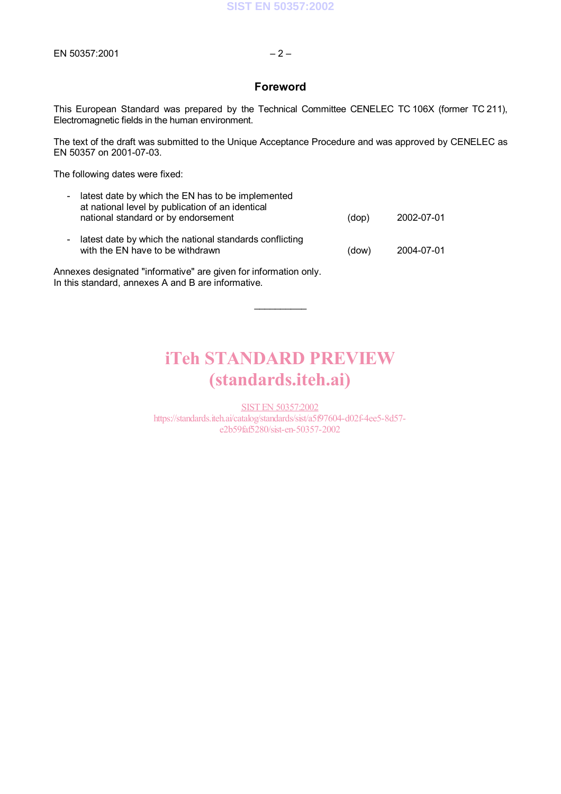### **Foreword**

This European Standard was prepared by the Technical Committee CENELEC TC 106X (former TC 211), Electromagnetic fields in the human environment.

The text of the draft was submitted to the Unique Acceptance Procedure and was approved by CENELEC as EN 50357 on 2001-07-03.

The following dates were fixed:

| - latest date by which the EN has to be implemented<br>at national level by publication of an identical<br>national standard or by endorsement | (dop) | 2002-07-01 |
|------------------------------------------------------------------------------------------------------------------------------------------------|-------|------------|
| - latest date by which the national standards conflicting<br>with the EN have to be withdrawn                                                  | (dow) | 2004-07-01 |
| Annexes designated "informative" are given for information only.<br>In this standard, annexes A and B are informative.                         |       |            |

# iTeh STANDARD PREVIEW (standards.iteh.ai)

 $\frac{1}{2}$ 

SIST EN 50357:2002 https://standards.iteh.ai/catalog/standards/sist/a5f97604-d02f-4ee5-8d57 e2b59faf5280/sist-en-50357-2002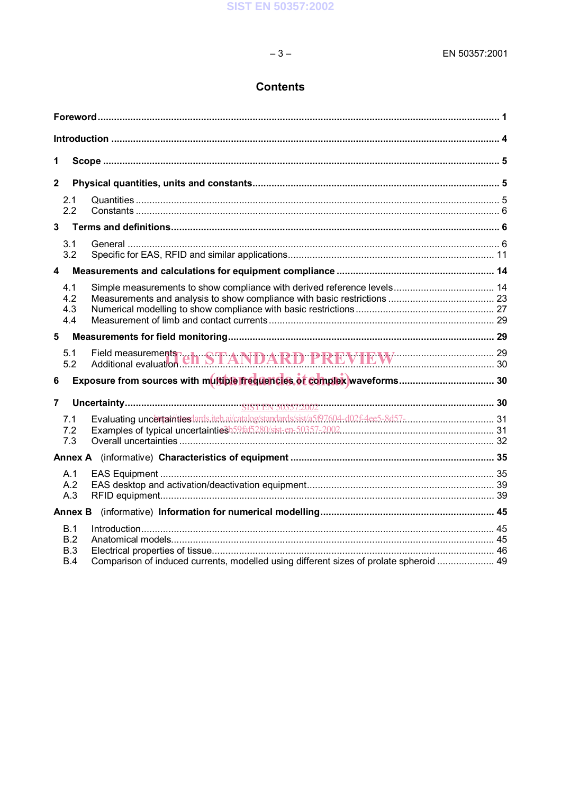# **Contents**

 $-3-$ 

| 1              |                |                                                                                        |  |
|----------------|----------------|----------------------------------------------------------------------------------------|--|
| $\mathbf{2}$   |                |                                                                                        |  |
|                | 2.1<br>2.2     |                                                                                        |  |
| $\overline{3}$ |                |                                                                                        |  |
|                | 3.1            |                                                                                        |  |
|                | 3.2            |                                                                                        |  |
| 4              |                |                                                                                        |  |
|                | 4.1            |                                                                                        |  |
|                | 4.2<br>4.3     |                                                                                        |  |
|                | 4.4            |                                                                                        |  |
| 5              |                |                                                                                        |  |
|                | 5.1<br>5.2     | Field measurements<br>Additional evaluation.com STANDARD PREVIEW 29                    |  |
| 6              |                |                                                                                        |  |
| $\overline{7}$ |                |                                                                                        |  |
|                | 7.1            |                                                                                        |  |
|                | 7.2<br>7.3     |                                                                                        |  |
|                |                |                                                                                        |  |
|                | A.1            |                                                                                        |  |
|                | A.2            |                                                                                        |  |
|                | A.3            |                                                                                        |  |
|                | <b>Annex B</b> |                                                                                        |  |
|                | B.1            |                                                                                        |  |
|                | B.2<br>B.3     |                                                                                        |  |
|                | B.4            | Comparison of induced currents, modelled using different sizes of prolate spheroid  49 |  |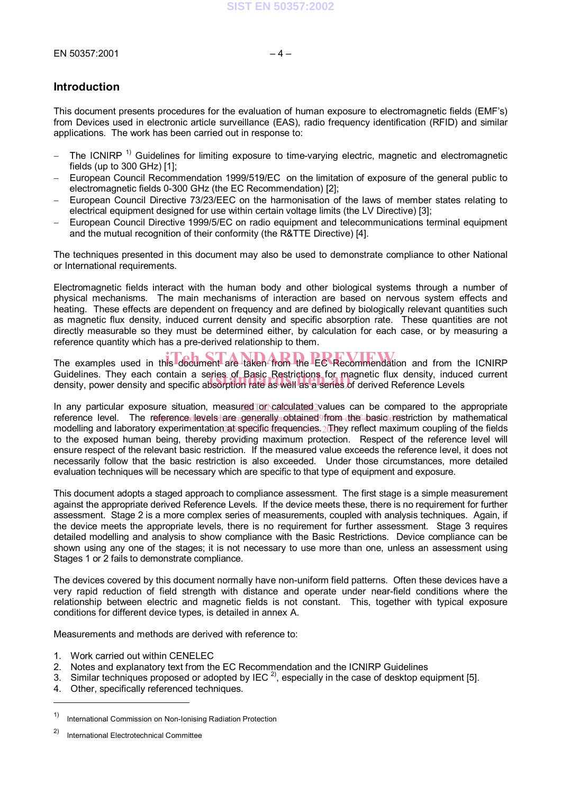### **Introduction**

This document presents procedures for the evaluation of human exposure to electromagnetic fields (EMFís) from Devices used in electronic article surveillance (EAS), radio frequency identification (RFID) and similar applications. The work has been carried out in response to:

- $-$  The ICNIRP<sup>1)</sup> Guidelines for limiting exposure to time-varying electric, magnetic and electromagnetic fields (up to 300 GHz) [1];
- European Council Recommendation 1999/519/EC on the limitation of exposure of the general public to electromagnetic fields 0-300 GHz (the EC Recommendation) [2];
- European Council Directive 73/23/EEC on the harmonisation of the laws of member states relating to electrical equipment designed for use within certain voltage limits (the LV Directive) [3];
- European Council Directive 1999/5/EC on radio equipment and telecommunications terminal equipment and the mutual recognition of their conformity (the R&TTE Directive) [4].

The techniques presented in this document may also be used to demonstrate compliance to other National or International requirements.

Electromagnetic fields interact with the human body and other biological systems through a number of physical mechanisms. The main mechanisms of interaction are based on nervous system effects and heating. These effects are dependent on frequency and are defined by biologically relevant quantities such as magnetic flux density, induced current density and specific absorption rate. These quantities are not directly measurable so they must be determined either, by calculation for each case, or by measuring a reference quantity which has a pre-derived relationship to them.

The examples used in this document are taken from the EC Recommendation and from the ICNIRP Guidelines. They each contain a series of Basic Restrictions for magnetic flux density, induced current Guidelines. They each contain a series of Basic Restrictions for magnetic flux density, induce<br>density, power density and specific absorption rate as well as a series of derived Reference Levels

In any particular exposure situation, measured Tor calculated values can be compared to the appropriate reference level. The reference levels are generally obtained from the basic restriction by mathematical modelling and laboratory experimentation at specific frequencies. 2 They reflect maximum coupling of the fields to the exposed human being, thereby providing maximum protection. Respect of the reference level will ensure respect of the relevant basic restriction. If the measured value exceeds the reference level, it does not necessarily follow that the basic restriction is also exceeded. Under those circumstances, more detailed evaluation techniques will be necessary which are specific to that type of equipment and exposure.

This document adopts a staged approach to compliance assessment. The first stage is a simple measurement against the appropriate derived Reference Levels. If the device meets these, there is no requirement for further assessment. Stage 2 is a more complex series of measurements, coupled with analysis techniques. Again, if the device meets the appropriate levels, there is no requirement for further assessment. Stage 3 requires detailed modelling and analysis to show compliance with the Basic Restrictions. Device compliance can be shown using any one of the stages; it is not necessary to use more than one, unless an assessment using Stages 1 or 2 fails to demonstrate compliance.

The devices covered by this document normally have non-uniform field patterns. Often these devices have a very rapid reduction of field strength with distance and operate under near-field conditions where the relationship between electric and magnetic fields is not constant. This, together with typical exposure conditions for different device types, is detailed in annex A.

Measurements and methods are derived with reference to:

- 1. Work carried out within CENELEC
- 2. Notes and explanatory text from the EC Recommendation and the ICNIRP Guidelines
- 3. Similar techniques proposed or adopted by IEC  $^{2}$ , especially in the case of desktop equipment [5].
- 4. Other, specifically referenced techniques.

l

<sup>1)</sup> International Commission on Non-Ionising Radiation Protection

<sup>2)</sup> International Electrotechnical Committee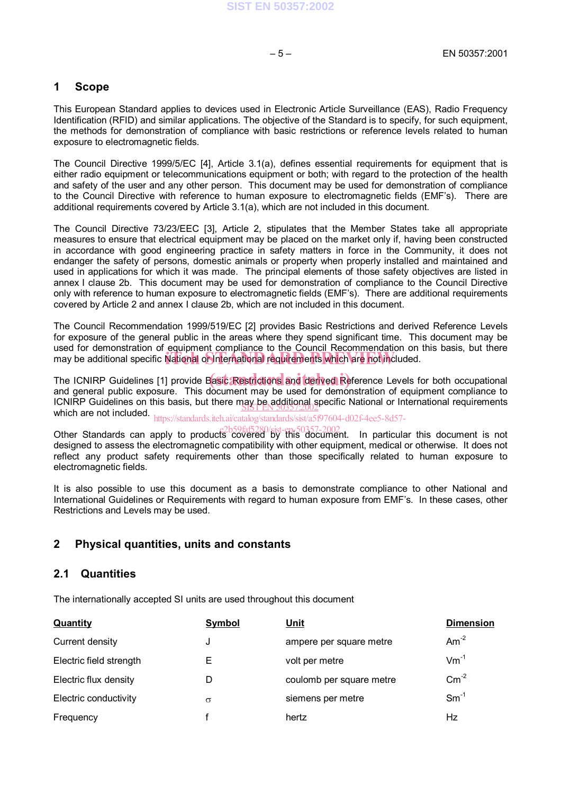#### **1 Scope**

This European Standard applies to devices used in Electronic Article Surveillance (EAS), Radio Frequency Identification (RFID) and similar applications. The objective of the Standard is to specify, for such equipment, the methods for demonstration of compliance with basic restrictions or reference levels related to human exposure to electromagnetic fields.

The Council Directive 1999/5/EC [4], Article 3.1(a), defines essential requirements for equipment that is either radio equipment or telecommunications equipment or both; with regard to the protection of the health and safety of the user and any other person. This document may be used for demonstration of compliance to the Council Directive with reference to human exposure to electromagnetic fields (EMF's). There are additional requirements covered by Article 3.1(a), which are not included in this document.

The Council Directive 73/23/EEC [3], Article 2, stipulates that the Member States take all appropriate measures to ensure that electrical equipment may be placed on the market only if, having been constructed in accordance with good engineering practice in safety matters in force in the Community, it does not endanger the safety of persons, domestic animals or property when properly installed and maintained and used in applications for which it was made. The principal elements of those safety objectives are listed in annex I clause 2b. This document may be used for demonstration of compliance to the Council Directive only with reference to human exposure to electromagnetic fields (EMFís). There are additional requirements covered by Article 2 and annex I clause 2b, which are not included in this document.

The Council Recommendation 1999/519/EC [2] provides Basic Restrictions and derived Reference Levels for exposure of the general public in the areas where they spend significant time. This document may be used for demonstration of equipment compliance to the Council Recommendation on this basis, but there ased for demonstration or equipment compliance to the council recommendation on

The ICNIRP Guidelines [1] provide Basic Restrictions and derived Reference Levels for both occupational and general public exposure. This document may be used for demonstration of equipment compliance to ICNIRP Guidelines on this basis, but there may be additional specific National or International requirements FUNIRE Guidelines on this basis, but there may be a subjected  $\frac{1}{200}$ .

https://standards.iteh.ai/catalog/standards/sist/a5f97604-d02f-4ee5-8d57-

Other Standards can apply to products covered by this document. In particular this document is not designed to assess the electromagnetic compatibility with other equipment, medical or otherwise. It does not reflect any product safety requirements other than those specifically related to human exposure to electromagnetic fields.

It is also possible to use this document as a basis to demonstrate compliance to other National and International Guidelines or Requirements with regard to human exposure from EMFís. In these cases, other Restrictions and Levels may be used.

### **2 Physical quantities, units and constants**

#### **2.1 Quantities**

The internationally accepted SI units are used throughout this document

| Quantity                | Symbol   | <u>Unit</u>              | <b>Dimension</b> |
|-------------------------|----------|--------------------------|------------------|
| Current density         | J        | ampere per square metre  | Am <sup>-2</sup> |
| Electric field strength | Е        | volt per metre           | $Vm^{-1}$        |
| Electric flux density   | D        | coulomb per square metre | $\text{Cm}^2$    |
| Electric conductivity   | $\sigma$ | siemens per metre        | $Sm^{-1}$        |
| Frequency               |          | hertz                    | Hz               |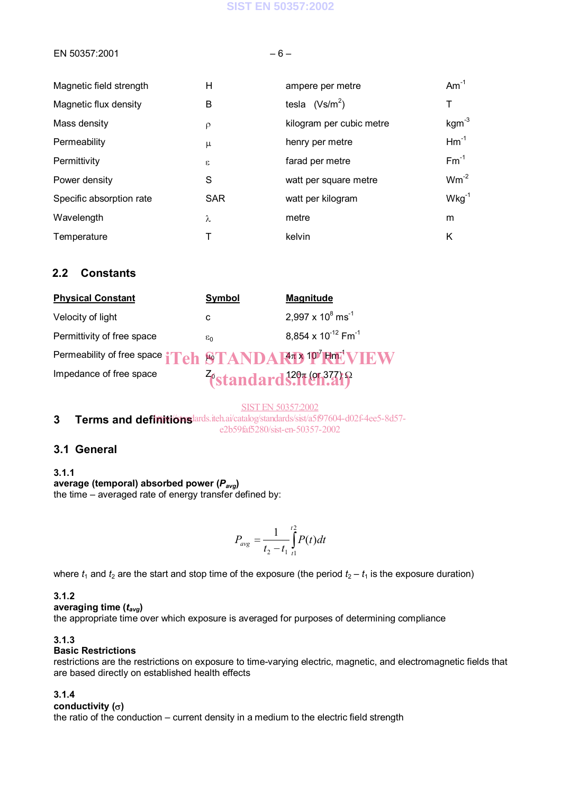### **SIST EN 50357:2002**

#### $EN 50357:2001$   $-6-$

| Magnetic field strength  | Н          | ampere per metre         | $Am^{-1}$  |
|--------------------------|------------|--------------------------|------------|
| Magnetic flux density    | B          | tesla $(Vs/m^2)$         | т          |
| Mass density             | $\rho$     | kilogram per cubic metre | $kgm-3$    |
| Permeability             | μ          | henry per metre          | $Hm^{-1}$  |
| Permittivity             | $\epsilon$ | farad per metre          | $Fm^{-1}$  |
| Power density            | S          | watt per square metre    | $Wm^{-2}$  |
| Specific absorption rate | <b>SAR</b> | watt per kilogram        | $Wkg^{-1}$ |
| Wavelength               | λ          | metre                    | m          |
| Temperature              |            | kelvin                   | Κ          |

## **2.2 Constants**

| <b>Physical Constant</b>                                                                                                                                                                                                       | <b>Symbol</b>   | <b>Magnitude</b>                    |
|--------------------------------------------------------------------------------------------------------------------------------------------------------------------------------------------------------------------------------|-----------------|-------------------------------------|
| Velocity of light                                                                                                                                                                                                              | c               | $2,997 \times 10^8 \text{ ms}^{-1}$ |
| Permittivity of free space                                                                                                                                                                                                     | $\varepsilon_0$ | 8,854 x $10^{-12}$ Fm <sup>-1</sup> |
| Permeability of free space iTeh STANDART 10 FIFT VIEW                                                                                                                                                                          |                 |                                     |
| the contract of the contract of the contract of the contract of the contract of the contract of the contract of the contract of the contract of the contract of the contract of the contract of the contract of the contract o |                 |                                     |

Impedance of free space  $\frac{z_{\text{standard}}^{120} \cdot \text{C}}{z_{\text{standard}}^{120} \cdot \text{C}}$ 

SIST EN 50357:2002

**3** Terms and definitionslards.iteh.ai/catalog/standards/sist/a5f97604-d02f-4ee5-8d57e2b59faf5280/sist-en-50357-2002

## **3.1 General**

#### **3.1.1**

**average (temporal) absorbed power (***Pavg***)** the time  $-$  averaged rate of energy transfer defined by:

$$
P_{avg} = \frac{1}{t_2 - t_1} \int_{t_1}^{t_2} P(t) dt
$$

where  $t_1$  and  $t_2$  are the start and stop time of the exposure (the period  $t_2 - t_1$  is the exposure duration)

#### **3.1.2**

**averaging time (***tavg***)**

the appropriate time over which exposure is averaged for purposes of determining compliance

### **3.1.3**

#### **Basic Restrictions**

restrictions are the restrictions on exposure to time-varying electric, magnetic, and electromagnetic fields that are based directly on established health effects

#### **3.1.4**

**conductivity ()**

the ratio of the conduction  $-$  current density in a medium to the electric field strength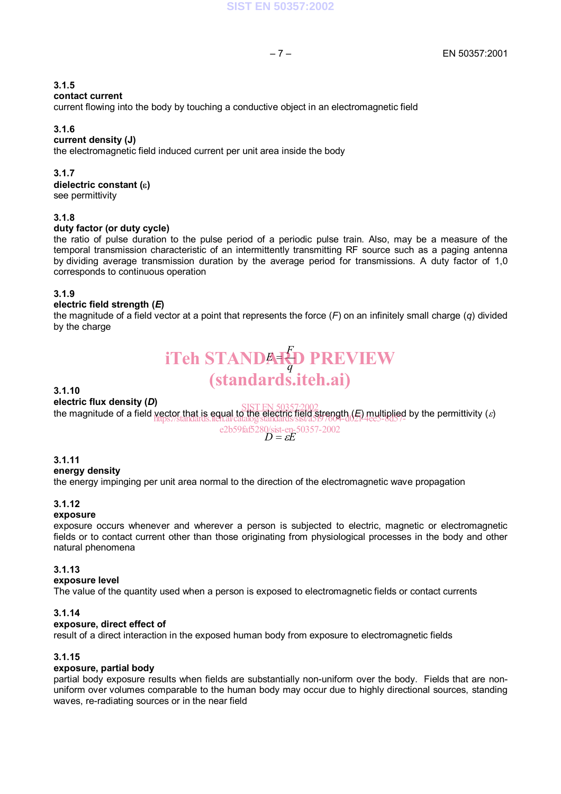#### **contact current**

current flowing into the body by touching a conductive object in an electromagnetic field

#### **3.1.6**

#### **current density (J)**

the electromagnetic field induced current per unit area inside the body

#### **3.1.7**

dielectric constant ( $\varepsilon$ )

see permittivity

#### **3.1.8**

#### **duty factor (or duty cycle)**

the ratio of pulse duration to the pulse period of a periodic pulse train. Also, may be a measure of the temporal transmission characteristic of an intermittently transmitting RF source such as a paging antenna by dividing average transmission duration by the average period for transmissions. A duty factor of 1,0 corresponds to continuous operation

#### **3.1.9**

#### **electric field strength (***E***)**

the magnitude of a field vector at a point that represents the force (*F*) on an infinitely small charge (*q*) divided by the charge

# *q* **iTeh STANDARD PREVIEW** (standards.iteh.ai)

#### **3.1.10**

#### **electric flux density (***D***)**

electric flux defisity (*D*)<br>the magnitude of a field <u>vector that is equal to the electric field strength (*E*) multiplied</u> by the permittivity (*ɛ*) https://standards.iteh.ai/catalog/standards/sist/a5f97604-d02f-4ee5-8d57-

e2b59fa5280/sist-en-50357-2002  

$$
D = \varepsilon E
$$

#### **3.1.11**

#### **energy density**

the energy impinging per unit area normal to the direction of the electromagnetic wave propagation

#### **3.1.12**

#### **exposure**

exposure occurs whenever and wherever a person is subjected to electric, magnetic or electromagnetic fields or to contact current other than those originating from physiological processes in the body and other natural phenomena

#### **3.1.13**

#### **exposure level**

The value of the quantity used when a person is exposed to electromagnetic fields or contact currents

#### **3.1.14**

#### **exposure, direct effect of**

result of a direct interaction in the exposed human body from exposure to electromagnetic fields

#### **3.1.15**

#### **exposure, partial body**

partial body exposure results when fields are substantially non-uniform over the body. Fields that are nonuniform over volumes comparable to the human body may occur due to highly directional sources, standing waves, re-radiating sources or in the near field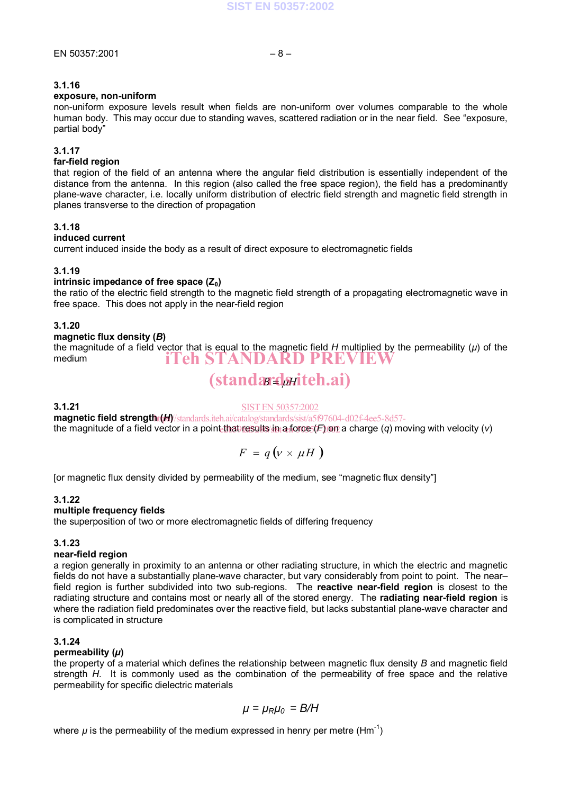#### **exposure, non-uniform**

non-uniform exposure levels result when fields are non-uniform over volumes comparable to the whole human body. This may occur due to standing waves, scattered radiation or in the near field. See "exposure, partial body"

#### **3.1.17**

#### **far-field region**

that region of the field of an antenna where the angular field distribution is essentially independent of the distance from the antenna. In this region (also called the free space region), the field has a predominantly plane-wave character, i.e. locally uniform distribution of electric field strength and magnetic field strength in planes transverse to the direction of propagation

#### **3.1.18**

#### **induced current**

current induced inside the body as a result of direct exposure to electromagnetic fields

#### **3.1.19**

#### **intrinsic impedance of free space (Z<sub>0</sub>)**

the ratio of the electric field strength to the magnetic field strength of a propagating electromagnetic wave in free space. This does not apply in the near-field region

#### **3.1.20**

#### **magnetic flux density (***B***)**

the magnitude of a field vector that is equal to the magnetic field *H* multiplied by the permeability (*µ*) of the medium iTeh STANDARD PREVIEW

# (standardaiteh.ai)

#### **3.1.21**

#### SIST EN 50357:2002

magnetic field strength (*H*) / standards.iteh.ai/catalog/standards/sist/a5f97604-d02f-4ee5-8d57the magnitude of a field vector in a point<u>-that results in a f</u>orce (*F*) on a charge (*q*) moving with velocity (*v*)

$$
F = q\left(\nu \times \mu H\right)
$$

[or magnetic flux density divided by permeability of the medium, see "magnetic flux density"]

#### **3.1.22**

#### **multiple frequency fields**

the superposition of two or more electromagnetic fields of differing frequency

#### **3.1.23**

#### **near-field region**

a region generally in proximity to an antenna or other radiating structure, in which the electric and magnetic fields do not have a substantially plane-wave character, but vary considerably from point to point. The nearfield region is further subdivided into two sub-regions. The **reactive near-field region** is closest to the radiating structure and contains most or nearly all of the stored energy. The **radiating near-field region** is where the radiation field predominates over the reactive field, but lacks substantial plane-wave character and is complicated in structure

#### **3.1.24**

#### **permeability (***µ***)**

the property of a material which defines the relationship between magnetic flux density *B* and magnetic field strength *H*. It is commonly used as the combination of the permeability of free space and the relative permeability for specific dielectric materials

$$
\mu = \mu_R \mu_0 = B/H
$$

where  $\mu$  is the permeability of the medium expressed in henry per metre (Hm<sup>-1</sup>)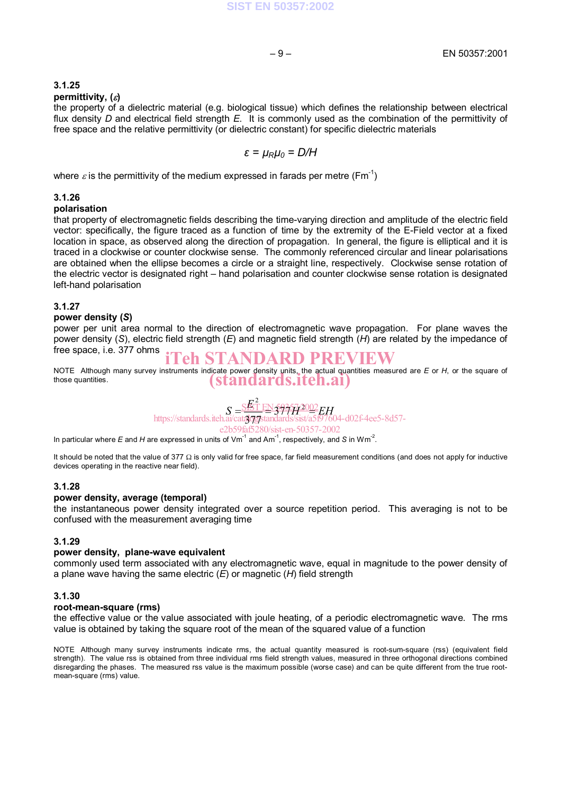#### **permittivity, ()**

the property of a dielectric material (e.g. biological tissue) which defines the relationship between electrical flux density *D* and electrical field strength *E*. It is commonly used as the combination of the permittivity of free space and the relative permittivity (or dielectric constant) for specific dielectric materials

$$
\varepsilon = \mu_R \mu_0 = D/H
$$

where  $\varepsilon$  is the permittivity of the medium expressed in farads per metre (Fm<sup>-1</sup>)

#### **3.1.26**

#### **polarisation**

that property of electromagnetic fields describing the time-varying direction and amplitude of the electric field vector: specifically, the figure traced as a function of time by the extremity of the E-Field vector at a fixed location in space, as observed along the direction of propagation. In general, the figure is elliptical and it is traced in a clockwise or counter clockwise sense. The commonly referenced circular and linear polarisations are obtained when the ellipse becomes a circle or a straight line, respectively. Clockwise sense rotation of the electric vector is designated right – hand polarisation and counter clockwise sense rotation is designated left-hand polarisation

#### **3.1.27**

#### **power density (***S***)**

power per unit area normal to the direction of electromagnetic wave propagation. For plane waves the power density (*S*), electric field strength (*E*) and magnetic field strength (*H*) are related by the impedance of free space, i.e. 377 ohms

# iTeh STANDARD PREVIEW

NOTE Although many survey instruments indicate power density units, the actual quantities measured are *E* or *H*, or the square of those quantities. (standards.iteh.ai)

#### $S = \frac{\text{S}E^2}{\text{s}H} E N \frac{293572002}{\text{s}H} E H$ 377 309 <u>SIST EN 50357:2002</u> https://standards.iteh.ai/catalog/standards/sist/a5f97604-d02f-4ee5-8d57 e2b59faf5280/sist-en-50357-2002

In particular where *E* and *H* are expressed in units of Vm<sup>-1</sup> and Am<sup>-1</sup>, respectively, and *S* in Wm<sup>-2</sup>.

It should be noted that the value of 377  $\Omega$  is only valid for free space, far field measurement conditions (and does not apply for inductive devices operating in the reactive near field).

#### **3.1.28**

#### **power density, average (temporal)**

the instantaneous power density integrated over a source repetition period. This averaging is not to be confused with the measurement averaging time

#### **3.1.29**

#### **power density, plane-wave equivalent**

commonly used term associated with any electromagnetic wave, equal in magnitude to the power density of a plane wave having the same electric (*E*) or magnetic (*H*) field strength

#### **3.1.30**

#### **root-mean-square (rms)**

the effective value or the value associated with joule heating, of a periodic electromagnetic wave. The rms value is obtained by taking the square root of the mean of the squared value of a function

NOTE Although many survey instruments indicate rms, the actual quantity measured is root-sum-square (rss) (equivalent field strength). The value rss is obtained from three individual rms field strength values, measured in three orthogonal directions combined disregarding the phases. The measured rss value is the maximum possible (worse case) and can be quite different from the true rootmean-square (rms) value.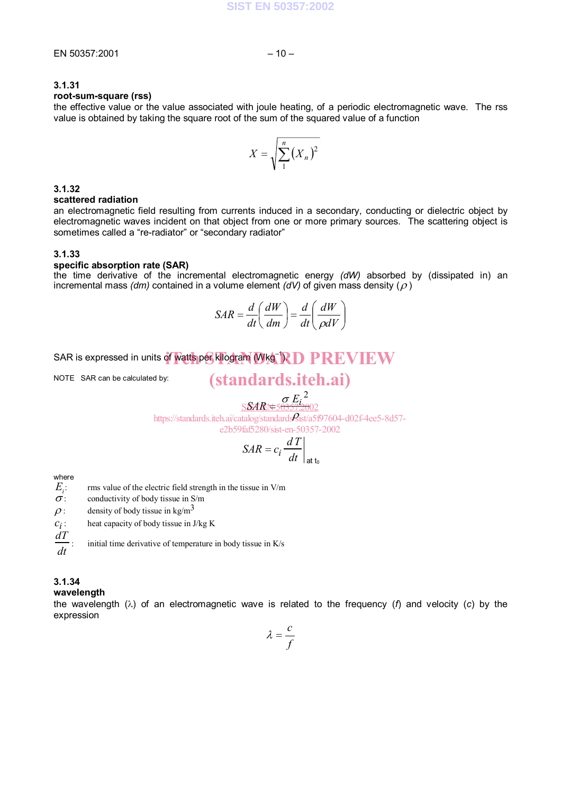#### **root-sum-square (rss)**

the effective value or the value associated with joule heating, of a periodic electromagnetic wave. The rss value is obtained by taking the square root of the sum of the squared value of a function

$$
X = \sqrt{\sum_{1}^{n} (X_n)^2}
$$

#### **3.1.32**

#### **scattered radiation**

an electromagnetic field resulting from currents induced in a secondary, conducting or dielectric object by electromagnetic waves incident on that object from one or more primary sources. The scattering object is sometimes called a "re-radiator" or "secondary radiator"

#### **3.1.33**

#### **specific absorption rate (SAR)**

the time derivative of the incremental electromagnetic energy *(dW)* absorbed by (dissipated in) an incremental mass  $\langle dm \rangle$  contained in a volume element  $\langle dV \rangle$  of given mass density  $\langle \rho \rangle$ 

$$
SAR = \frac{d}{dt} \left( \frac{dW}{dm} \right) = \frac{d}{dt} \left( \frac{dW}{\rho dV} \right)
$$

# SAR is expressed in units of watts per kilogram (Wkg<sup>-1</sup>RD PREVIEW

NOTE SAR can be calculated by:

# (standards.iteh.ai)

*SAR Ei* 2 https://standards.iteh.ai/catalog/standards*Q*ist/a5f97604-d02f-4ee5-8d57-SSARN=503572002 e2b59faf5280/sist-en-50357-2002

$$
SAR = c_i \frac{dT}{dt}\bigg|_{\text{at }t_0}
$$

where

 $E_i$ :<br> $\sigma$ : : rms value of the electric field strength in the tissue in V/m

conductivity of body tissue in S/m

 $\rho$ : density of body tissue in kg/m<sup>3</sup>

 $c_i$ : heat capacity of body tissue in J/kg K

*dT* : initial time derivative of temperature in body tissue in K/s

#### **3.1.34**

*dt*

#### **wavelength**

the wavelength  $(\lambda)$  of an electromagnetic wave is related to the frequency ( $f$ ) and velocity (c) by the expression

$$
\lambda = \frac{c}{f}
$$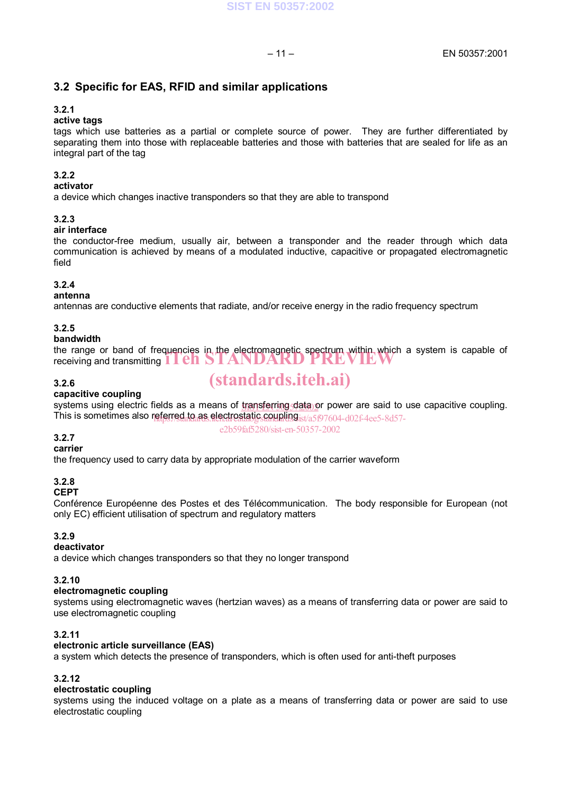# **3.2 Specific for EAS, RFID and similar applications**

#### **3.2.1**

### **active tags**

tags which use batteries as a partial or complete source of power. They are further differentiated by separating them into those with replaceable batteries and those with batteries that are sealed for life as an integral part of the tag

#### **3.2.2**

#### **activator**

a device which changes inactive transponders so that they are able to transpond

#### **3.2.3**

#### **air interface**

the conductor-free medium, usually air, between a transponder and the reader through which data communication is achieved by means of a modulated inductive, capacitive or propagated electromagnetic field

### **3.2.4**

#### **antenna**

antennas are conductive elements that radiate, and/or receive energy in the radio frequency spectrum

#### **3.2.5**

#### **bandwidth**

the range or band of frequencies in the electromagnetic spectrum within which a system is capable of the range or band or frequencies in the electromagnetic spectrum within which a receiving and transmitting  $1$  en STANDARD PREVIEW

#### **3.2.6**

# (standards.iteh.ai)

#### **capacitive coupling**

systems using electric fields as a means of transferring data or power are said to use capacitive coupling. This is sometimes also referred to as electrostatic coupling is a 507604-d02f-4ee5-8d57-

#### e2b59faf5280/sist-en-50357-2002

# **3.2.7**

# **carrier**

the frequency used to carry data by appropriate modulation of the carrier waveform

## **3.2.8**

#### **CEPT**

Conférence Européenne des Postes et des Télécommunication. The body responsible for European (not only EC) efficient utilisation of spectrum and regulatory matters

#### **3.2.9**

#### **deactivator**

a device which changes transponders so that they no longer transpond

#### **3.2.10**

#### **electromagnetic coupling**

systems using electromagnetic waves (hertzian waves) as a means of transferring data or power are said to use electromagnetic coupling

#### **3.2.11**

#### **electronic article surveillance (EAS)**

a system which detects the presence of transponders, which is often used for anti-theft purposes

#### **3.2.12**

#### **electrostatic coupling**

systems using the induced voltage on a plate as a means of transferring data or power are said to use electrostatic coupling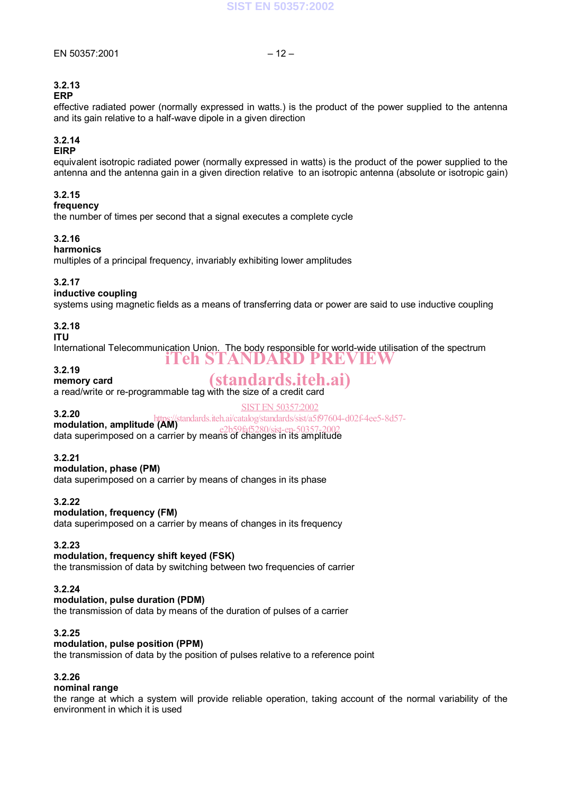## **3.2.13**

#### **ERP**

effective radiated power (normally expressed in watts.) is the product of the power supplied to the antenna and its gain relative to a half-wave dipole in a given direction

#### **3.2.14**

#### **EIRP**

equivalent isotropic radiated power (normally expressed in watts) is the product of the power supplied to the antenna and the antenna gain in a given direction relative to an isotropic antenna (absolute or isotropic gain)

#### **3.2.15**

### **frequency**

the number of times per second that a signal executes a complete cycle

#### **3.2.16**

#### **harmonics**

multiples of a principal frequency, invariably exhibiting lower amplitudes

#### **3.2.17**

#### **inductive coupling**

systems using magnetic fields as a means of transferring data or power are said to use inductive coupling

#### **3.2.18**

#### **ITU**

International Telecommunication Union. The body responsible for world-wide utilisation of the spectrum iTeh STANDARD PREVIEW

#### **3.2.19**

**memory card**

# (standards.iteh.ai)

SIST EN 50357:2002

a read/write or re-programmable tag with the size of a credit card

## **3.2.20**

**3.2.20**<br> **modulation, amplitude (AM)**<br>
antage antage (and 50257, 2002)

data superimposed on a carrier by means of changes in its amplitude e2b59faf5280/sist-en-50357-2002

#### **3.2.21**

#### **modulation, phase (PM)**

data superimposed on a carrier by means of changes in its phase

#### **3.2.22**

#### **modulation, frequency (FM)**

data superimposed on a carrier by means of changes in its frequency

#### **3.2.23**

#### **modulation, frequency shift keyed (FSK)**

the transmission of data by switching between two frequencies of carrier

#### **3.2.24**

#### **modulation, pulse duration (PDM)**

the transmission of data by means of the duration of pulses of a carrier

#### **3.2.25**

#### **modulation, pulse position (PPM)**

the transmission of data by the position of pulses relative to a reference point

#### **3.2.26**

#### **nominal range**

the range at which a system will provide reliable operation, taking account of the normal variability of the environment in which it is used